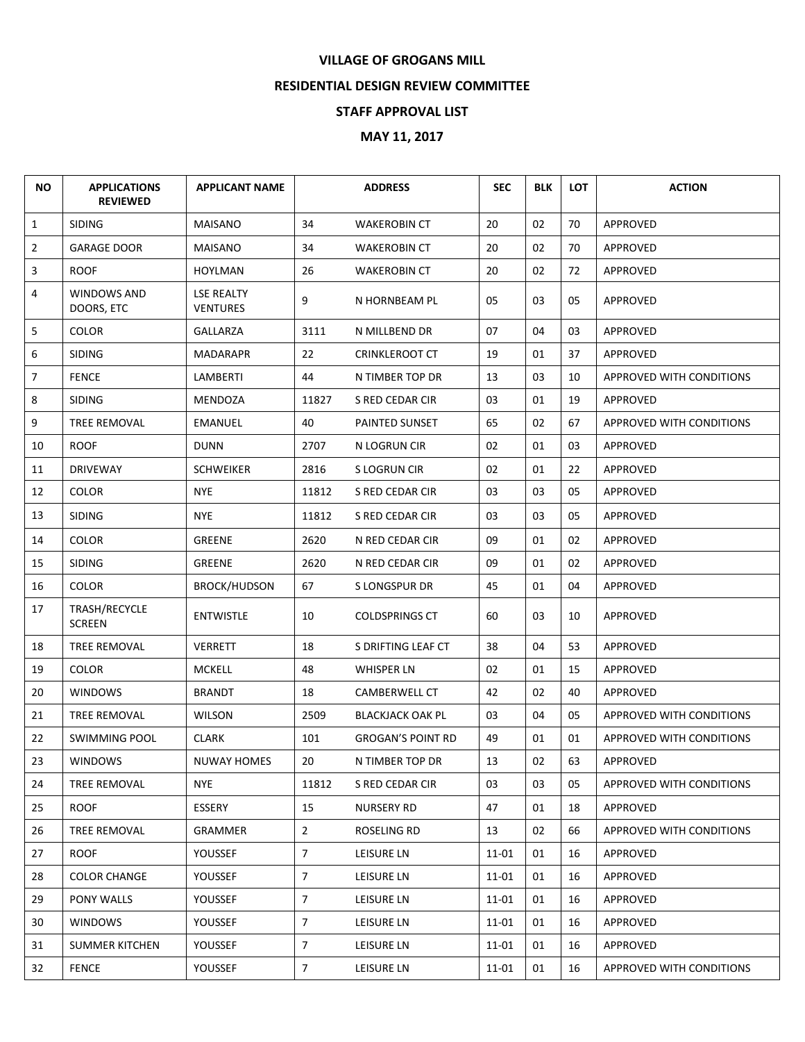## **VILLAGE OF GROGANS MILL**

## **RESIDENTIAL DESIGN REVIEW COMMITTEE**

## **STAFF APPROVAL LIST**

## **MAY 11, 2017**

| <b>NO</b>      | <b>APPLICATIONS</b><br><b>REVIEWED</b> | <b>APPLICANT NAME</b>         |                | <b>ADDRESS</b>           | <b>SEC</b> | <b>BLK</b> | <b>LOT</b> | <b>ACTION</b>            |
|----------------|----------------------------------------|-------------------------------|----------------|--------------------------|------------|------------|------------|--------------------------|
| $\mathbf{1}$   | <b>SIDING</b>                          | <b>MAISANO</b>                | 34             | <b>WAKEROBIN CT</b>      | 20         | 02         | 70         | APPROVED                 |
| $\overline{2}$ | <b>GARAGE DOOR</b>                     | <b>MAISANO</b>                | 34             | <b>WAKEROBIN CT</b>      | 20         | 02         | 70         | <b>APPROVED</b>          |
| 3              | <b>ROOF</b>                            | <b>HOYLMAN</b>                | 26             | <b>WAKEROBIN CT</b>      | 20         | 02         | 72         | APPROVED                 |
| 4              | WINDOWS AND<br>DOORS, ETC              | <b>LSE REALTY</b><br>VENTURES | 9              | N HORNBEAM PL            | 05         | 03         | 05         | APPROVED                 |
| 5              | <b>COLOR</b>                           | GALLARZA                      | 3111           | N MILLBEND DR            | 07         | 04         | 03         | APPROVED                 |
| 6              | <b>SIDING</b>                          | MADARAPR                      | 22             | <b>CRINKLEROOT CT</b>    | 19         | 01         | 37         | APPROVED                 |
| 7              | <b>FENCE</b>                           | LAMBERTI                      | 44             | N TIMBER TOP DR          | 13         | 03         | 10         | APPROVED WITH CONDITIONS |
| 8              | <b>SIDING</b>                          | <b>MENDOZA</b>                | 11827          | S RED CEDAR CIR          | 03         | 01         | 19         | <b>APPROVED</b>          |
| 9              | TREE REMOVAL                           | EMANUEL                       | 40             | PAINTED SUNSET           | 65         | 02         | 67         | APPROVED WITH CONDITIONS |
| 10             | <b>ROOF</b>                            | <b>DUNN</b>                   | 2707           | N LOGRUN CIR             | 02         | 01         | 03         | <b>APPROVED</b>          |
| 11             | <b>DRIVEWAY</b>                        | <b>SCHWEIKER</b>              | 2816           | S LOGRUN CIR             | 02         | 01         | 22         | APPROVED                 |
| 12             | <b>COLOR</b>                           | <b>NYE</b>                    | 11812          | S RED CEDAR CIR          | 03         | 03         | 05         | APPROVED                 |
| 13             | <b>SIDING</b>                          | <b>NYE</b>                    | 11812          | S RED CEDAR CIR          | 03         | 03         | 05         | APPROVED                 |
| 14             | <b>COLOR</b>                           | <b>GREENE</b>                 | 2620           | N RED CEDAR CIR          | 09         | 01         | 02         | <b>APPROVED</b>          |
| 15             | <b>SIDING</b>                          | <b>GREENE</b>                 | 2620           | N RED CEDAR CIR          | 09         | 01         | 02         | APPROVED                 |
| 16             | <b>COLOR</b>                           | <b>BROCK/HUDSON</b>           | 67             | S LONGSPUR DR            | 45         | 01         | 04         | APPROVED                 |
| 17             | TRASH/RECYCLE<br><b>SCREEN</b>         | <b>ENTWISTLE</b>              | 10             | <b>COLDSPRINGS CT</b>    | 60         | 03         | 10         | APPROVED                 |
| 18             | TREE REMOVAL                           | <b>VERRETT</b>                | 18             | S DRIFTING LEAF CT       | 38         | 04         | 53         | APPROVED                 |
| 19             | <b>COLOR</b>                           | <b>MCKELL</b>                 | 48             | <b>WHISPER LN</b>        | 02         | 01         | 15         | APPROVED                 |
| 20             | <b>WINDOWS</b>                         | <b>BRANDT</b>                 | 18             | CAMBERWELL CT            | 42         | 02         | 40         | <b>APPROVED</b>          |
| 21             | <b>TREE REMOVAL</b>                    | WILSON                        | 2509           | <b>BLACKJACK OAK PL</b>  | 03         | 04         | 05         | APPROVED WITH CONDITIONS |
| 22             | <b>SWIMMING POOL</b>                   | <b>CLARK</b>                  | 101            | <b>GROGAN'S POINT RD</b> | 49         | 01         | 01         | APPROVED WITH CONDITIONS |
| 23             | <b>WINDOWS</b>                         | <b>NUWAY HOMES</b>            | 20             | N TIMBER TOP DR          | 13         | 02         | 63         | APPROVED                 |
| 24             | TREE REMOVAL                           | <b>NYE</b>                    | 11812          | S RED CEDAR CIR          | 03         | 03         | 05         | APPROVED WITH CONDITIONS |
| 25             | ROOF                                   | ESSERY                        | 15             | NURSERY RD               | 47         | 01         | 18         | APPROVED                 |
| 26             | <b>TREE REMOVAL</b>                    | GRAMMER                       | $2^{\circ}$    | ROSELING RD              | 13         | 02         | 66         | APPROVED WITH CONDITIONS |
| 27             | ROOF                                   | <b>YOUSSEF</b>                | $\overline{7}$ | LEISURE LN               | 11-01      | 01         | 16         | APPROVED                 |
| 28             | <b>COLOR CHANGE</b>                    | <b>YOUSSEF</b>                | $\overline{7}$ | LEISURE LN               | 11-01      | 01         | 16         | APPROVED                 |
| 29             | PONY WALLS                             | <b>YOUSSEF</b>                | $\overline{7}$ | LEISURE LN               | $11 - 01$  | 01         | 16         | APPROVED                 |
| 30             | <b>WINDOWS</b>                         | <b>YOUSSEF</b>                | $\overline{7}$ | LEISURE LN               | 11-01      | 01         | 16         | APPROVED                 |
| 31             | <b>SUMMER KITCHEN</b>                  | YOUSSEF                       | 7 <sup>7</sup> | LEISURE LN               | 11-01      | 01         | 16         | APPROVED                 |
| 32             | <b>FENCE</b>                           | YOUSSEF                       | 7 <sup>7</sup> | LEISURE LN               | $11 - 01$  | 01         | 16         | APPROVED WITH CONDITIONS |